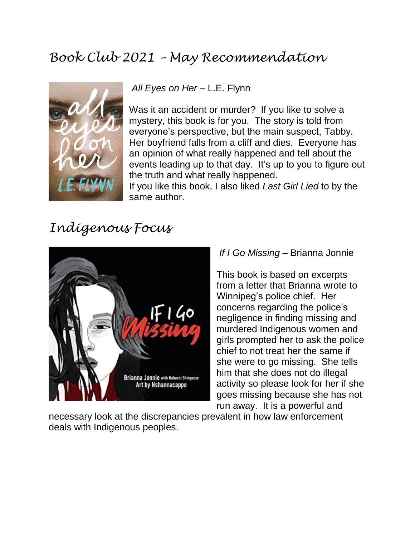# *Book Club 2021 – May Recommendation*



All Eyes on Her - L.E. Flynn

Was it an accident or murder? If you like to solve a mystery, this book is for you. The story is told from everyone's perspective, but the main suspect, Tabby. Her boyfriend falls from a cliff and dies. Everyone has an opinion of what really happened and tell about the events leading up to that day. It's up to you to figure out the truth and what really happened.

If you like this book, I also liked *Last Girl Lied* to by the same author.

# *Indigenous Focus*



#### *If I Go Missing* – Brianna Jonnie

This book is based on excerpts from a letter that Brianna wrote to Winnipeg's police chief. Her concerns regarding the police's negligence in finding missing and murdered Indigenous women and girls prompted her to ask the police chief to not treat her the same if she were to go missing. She tells him that she does not do illegal activity so please look for her if she goes missing because she has not run away. It is a powerful and

necessary look at the discrepancies prevalent in how law enforcement deals with Indigenous peoples.